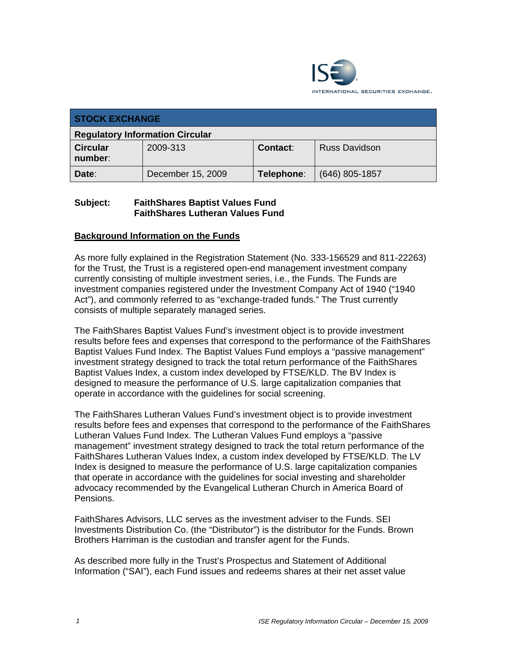

| <b>STOCK EXCHANGE</b>                  |                   |            |                      |  |  |
|----------------------------------------|-------------------|------------|----------------------|--|--|
| <b>Regulatory Information Circular</b> |                   |            |                      |  |  |
| <b>Circular</b><br>number:             | 2009-313          | Contact:   | <b>Russ Davidson</b> |  |  |
| Date:                                  | December 15, 2009 | Telephone: | $(646)$ 805-1857     |  |  |

#### **Subject: FaithShares Baptist Values Fund FaithShares Lutheran Values Fund**

## **Background Information on the Funds**

As more fully explained in the Registration Statement (No. 333-156529 and 811-22263) for the Trust, the Trust is a registered open-end management investment company currently consisting of multiple investment series, i.e., the Funds. The Funds are investment companies registered under the Investment Company Act of 1940 ("1940 Act"), and commonly referred to as "exchange-traded funds." The Trust currently consists of multiple separately managed series.

The FaithShares Baptist Values Fund's investment object is to provide investment results before fees and expenses that correspond to the performance of the FaithShares Baptist Values Fund Index. The Baptist Values Fund employs a "passive management" investment strategy designed to track the total return performance of the FaithShares Baptist Values Index, a custom index developed by FTSE/KLD. The BV Index is designed to measure the performance of U.S. large capitalization companies that operate in accordance with the guidelines for social screening.

The FaithShares Lutheran Values Fund's investment object is to provide investment results before fees and expenses that correspond to the performance of the FaithShares Lutheran Values Fund Index. The Lutheran Values Fund employs a "passive management" investment strategy designed to track the total return performance of the FaithShares Lutheran Values Index, a custom index developed by FTSE/KLD. The LV Index is designed to measure the performance of U.S. large capitalization companies that operate in accordance with the guidelines for social investing and shareholder advocacy recommended by the Evangelical Lutheran Church in America Board of Pensions.

FaithShares Advisors, LLC serves as the investment adviser to the Funds. SEI Investments Distribution Co. (the "Distributor") is the distributor for the Funds. Brown Brothers Harriman is the custodian and transfer agent for the Funds.

As described more fully in the Trust's Prospectus and Statement of Additional Information ("SAI"), each Fund issues and redeems shares at their net asset value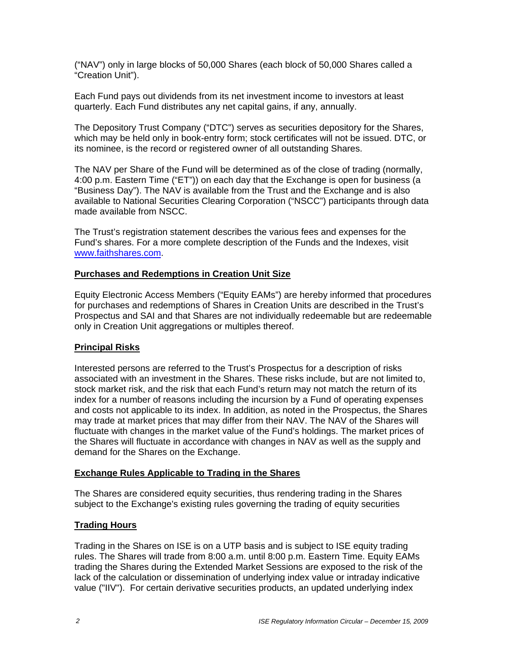("NAV") only in large blocks of 50,000 Shares (each block of 50,000 Shares called a "Creation Unit").

Each Fund pays out dividends from its net investment income to investors at least quarterly. Each Fund distributes any net capital gains, if any, annually.

The Depository Trust Company ("DTC") serves as securities depository for the Shares, which may be held only in book-entry form; stock certificates will not be issued. DTC, or its nominee, is the record or registered owner of all outstanding Shares.

The NAV per Share of the Fund will be determined as of the close of trading (normally, 4:00 p.m. Eastern Time ("ET")) on each day that the Exchange is open for business (a "Business Day"). The NAV is available from the Trust and the Exchange and is also available to National Securities Clearing Corporation ("NSCC") participants through data made available from NSCC.

The Trust's registration statement describes the various fees and expenses for the Fund's shares. For a more complete description of the Funds and the Indexes, visit www.faithshares.com.

#### **Purchases and Redemptions in Creation Unit Size**

Equity Electronic Access Members ("Equity EAMs") are hereby informed that procedures for purchases and redemptions of Shares in Creation Units are described in the Trust's Prospectus and SAI and that Shares are not individually redeemable but are redeemable only in Creation Unit aggregations or multiples thereof.

#### **Principal Risks**

Interested persons are referred to the Trust's Prospectus for a description of risks associated with an investment in the Shares. These risks include, but are not limited to, stock market risk, and the risk that each Fund's return may not match the return of its index for a number of reasons including the incursion by a Fund of operating expenses and costs not applicable to its index. In addition, as noted in the Prospectus, the Shares may trade at market prices that may differ from their NAV. The NAV of the Shares will fluctuate with changes in the market value of the Fund's holdings. The market prices of the Shares will fluctuate in accordance with changes in NAV as well as the supply and demand for the Shares on the Exchange.

#### **Exchange Rules Applicable to Trading in the Shares**

The Shares are considered equity securities, thus rendering trading in the Shares subject to the Exchange's existing rules governing the trading of equity securities

#### **Trading Hours**

Trading in the Shares on ISE is on a UTP basis and is subject to ISE equity trading rules. The Shares will trade from 8:00 a.m. until 8:00 p.m. Eastern Time. Equity EAMs trading the Shares during the Extended Market Sessions are exposed to the risk of the lack of the calculation or dissemination of underlying index value or intraday indicative value ("IIV"). For certain derivative securities products, an updated underlying index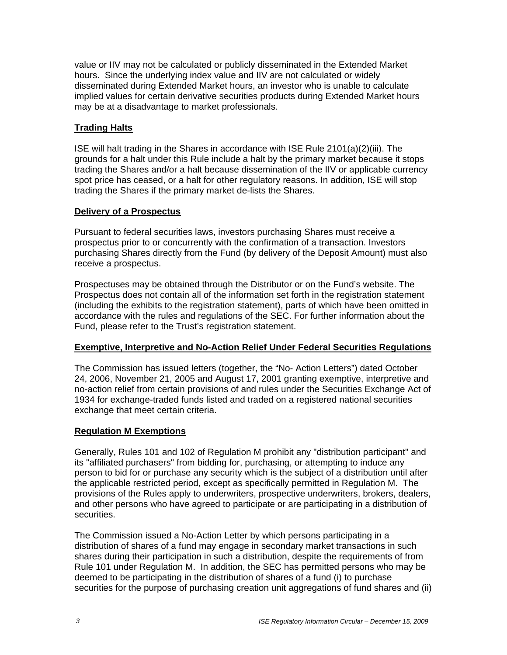value or IIV may not be calculated or publicly disseminated in the Extended Market hours. Since the underlying index value and IIV are not calculated or widely disseminated during Extended Market hours, an investor who is unable to calculate implied values for certain derivative securities products during Extended Market hours may be at a disadvantage to market professionals.

## **Trading Halts**

ISE will halt trading in the Shares in accordance with ISE Rule 2101(a)(2)(iii). The grounds for a halt under this Rule include a halt by the primary market because it stops trading the Shares and/or a halt because dissemination of the IIV or applicable currency spot price has ceased, or a halt for other regulatory reasons. In addition, ISE will stop trading the Shares if the primary market de-lists the Shares.

#### **Delivery of a Prospectus**

Pursuant to federal securities laws, investors purchasing Shares must receive a prospectus prior to or concurrently with the confirmation of a transaction. Investors purchasing Shares directly from the Fund (by delivery of the Deposit Amount) must also receive a prospectus.

Prospectuses may be obtained through the Distributor or on the Fund's website. The Prospectus does not contain all of the information set forth in the registration statement (including the exhibits to the registration statement), parts of which have been omitted in accordance with the rules and regulations of the SEC. For further information about the Fund, please refer to the Trust's registration statement.

#### **Exemptive, Interpretive and No-Action Relief Under Federal Securities Regulations**

The Commission has issued letters (together, the "No- Action Letters") dated October 24, 2006, November 21, 2005 and August 17, 2001 granting exemptive, interpretive and no-action relief from certain provisions of and rules under the Securities Exchange Act of 1934 for exchange-traded funds listed and traded on a registered national securities exchange that meet certain criteria.

#### **Regulation M Exemptions**

Generally, Rules 101 and 102 of Regulation M prohibit any "distribution participant" and its "affiliated purchasers" from bidding for, purchasing, or attempting to induce any person to bid for or purchase any security which is the subject of a distribution until after the applicable restricted period, except as specifically permitted in Regulation M. The provisions of the Rules apply to underwriters, prospective underwriters, brokers, dealers, and other persons who have agreed to participate or are participating in a distribution of securities.

The Commission issued a No-Action Letter by which persons participating in a distribution of shares of a fund may engage in secondary market transactions in such shares during their participation in such a distribution, despite the requirements of from Rule 101 under Regulation M. In addition, the SEC has permitted persons who may be deemed to be participating in the distribution of shares of a fund (i) to purchase securities for the purpose of purchasing creation unit aggregations of fund shares and (ii)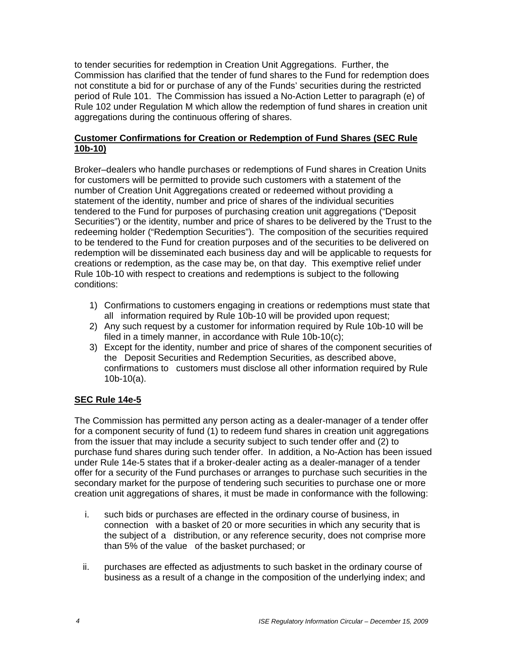to tender securities for redemption in Creation Unit Aggregations. Further, the Commission has clarified that the tender of fund shares to the Fund for redemption does not constitute a bid for or purchase of any of the Funds' securities during the restricted period of Rule 101. The Commission has issued a No-Action Letter to paragraph (e) of Rule 102 under Regulation M which allow the redemption of fund shares in creation unit aggregations during the continuous offering of shares.

#### **Customer Confirmations for Creation or Redemption of Fund Shares (SEC Rule 10b-10)**

Broker–dealers who handle purchases or redemptions of Fund shares in Creation Units for customers will be permitted to provide such customers with a statement of the number of Creation Unit Aggregations created or redeemed without providing a statement of the identity, number and price of shares of the individual securities tendered to the Fund for purposes of purchasing creation unit aggregations ("Deposit Securities") or the identity, number and price of shares to be delivered by the Trust to the redeeming holder ("Redemption Securities"). The composition of the securities required to be tendered to the Fund for creation purposes and of the securities to be delivered on redemption will be disseminated each business day and will be applicable to requests for creations or redemption, as the case may be, on that day. This exemptive relief under Rule 10b-10 with respect to creations and redemptions is subject to the following conditions:

- 1) Confirmations to customers engaging in creations or redemptions must state that all information required by Rule 10b-10 will be provided upon request;
- 2) Any such request by a customer for information required by Rule 10b-10 will be filed in a timely manner, in accordance with Rule 10b-10(c);
- 3) Except for the identity, number and price of shares of the component securities of the Deposit Securities and Redemption Securities, as described above, confirmations to customers must disclose all other information required by Rule 10b-10(a).

#### **SEC Rule 14e-5**

The Commission has permitted any person acting as a dealer-manager of a tender offer for a component security of fund (1) to redeem fund shares in creation unit aggregations from the issuer that may include a security subject to such tender offer and (2) to purchase fund shares during such tender offer. In addition, a No-Action has been issued under Rule 14e-5 states that if a broker-dealer acting as a dealer-manager of a tender offer for a security of the Fund purchases or arranges to purchase such securities in the secondary market for the purpose of tendering such securities to purchase one or more creation unit aggregations of shares, it must be made in conformance with the following:

- i. such bids or purchases are effected in the ordinary course of business, in connection with a basket of 20 or more securities in which any security that is the subject of a distribution, or any reference security, does not comprise more than 5% of the value of the basket purchased; or
- ii. purchases are effected as adjustments to such basket in the ordinary course of business as a result of a change in the composition of the underlying index; and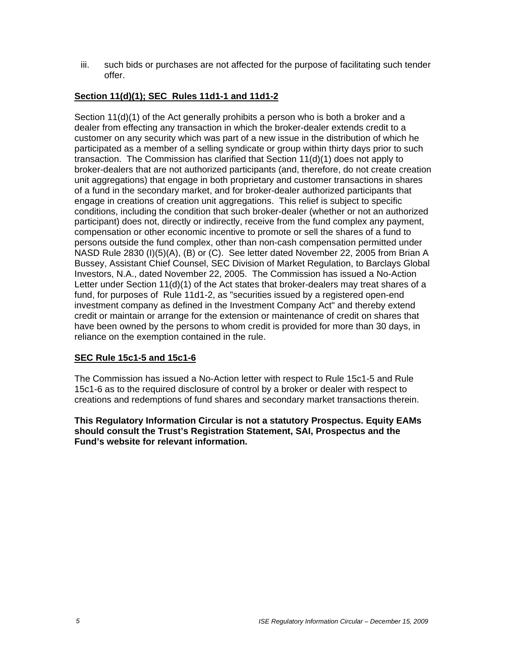iii. such bids or purchases are not affected for the purpose of facilitating such tender offer.

## **Section 11(d)(1); SEC Rules 11d1-1 and 11d1-2**

Section 11(d)(1) of the Act generally prohibits a person who is both a broker and a dealer from effecting any transaction in which the broker-dealer extends credit to a customer on any security which was part of a new issue in the distribution of which he participated as a member of a selling syndicate or group within thirty days prior to such transaction. The Commission has clarified that Section 11(d)(1) does not apply to broker-dealers that are not authorized participants (and, therefore, do not create creation unit aggregations) that engage in both proprietary and customer transactions in shares of a fund in the secondary market, and for broker-dealer authorized participants that engage in creations of creation unit aggregations. This relief is subject to specific conditions, including the condition that such broker-dealer (whether or not an authorized participant) does not, directly or indirectly, receive from the fund complex any payment, compensation or other economic incentive to promote or sell the shares of a fund to persons outside the fund complex, other than non-cash compensation permitted under NASD Rule 2830 (I)(5)(A), (B) or (C). See letter dated November 22, 2005 from Brian A Bussey, Assistant Chief Counsel, SEC Division of Market Regulation, to Barclays Global Investors, N.A., dated November 22, 2005. The Commission has issued a No-Action Letter under Section 11(d)(1) of the Act states that broker-dealers may treat shares of a fund, for purposes of Rule 11d1-2, as "securities issued by a registered open-end investment company as defined in the Investment Company Act" and thereby extend credit or maintain or arrange for the extension or maintenance of credit on shares that have been owned by the persons to whom credit is provided for more than 30 days, in reliance on the exemption contained in the rule.

#### **SEC Rule 15c1-5 and 15c1-6**

The Commission has issued a No-Action letter with respect to Rule 15c1-5 and Rule 15c1-6 as to the required disclosure of control by a broker or dealer with respect to creations and redemptions of fund shares and secondary market transactions therein.

**This Regulatory Information Circular is not a statutory Prospectus. Equity EAMs should consult the Trust's Registration Statement, SAI, Prospectus and the Fund's website for relevant information.**